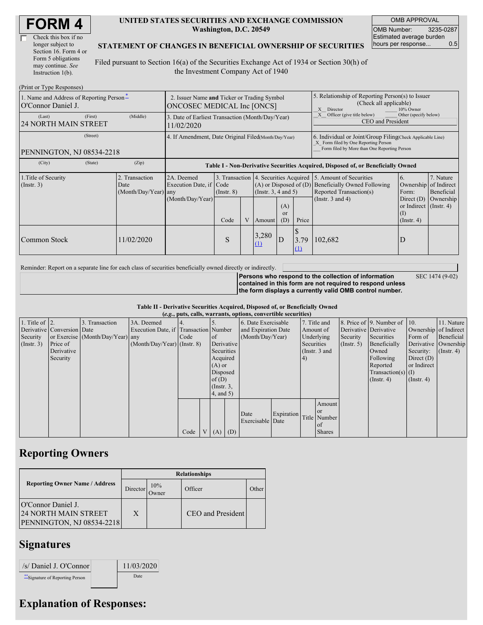| Check this box if no  |  |
|-----------------------|--|
| longer subject to     |  |
| Section 16. Form 4 or |  |
| Form 5 obligations    |  |
| may continue. See     |  |
| Instruction 1(b).     |  |

#### **UNITED STATES SECURITIES AND EXCHANGE COMMISSION Washington, D.C. 20549**

OMB APPROVAL OMB Number: 3235-0287 Estimated average burden hours per response... 0.5

SEC 1474 (9-02)

### **STATEMENT OF CHANGES IN BENEFICIAL OWNERSHIP OF SECURITIES**

Filed pursuant to Section 16(a) of the Securities Exchange Act of 1934 or Section 30(h) of the Investment Company Act of 1940

| (Print or Type Responses)                                      |                                                                                                                                                                  |            |                                                                                          |      |                                     |                                                                                                       |                                                                                                                                                    |                       |                                                                          |                                                                   |           |
|----------------------------------------------------------------|------------------------------------------------------------------------------------------------------------------------------------------------------------------|------------|------------------------------------------------------------------------------------------|------|-------------------------------------|-------------------------------------------------------------------------------------------------------|----------------------------------------------------------------------------------------------------------------------------------------------------|-----------------------|--------------------------------------------------------------------------|-------------------------------------------------------------------|-----------|
| 1. Name and Address of Reporting Person-<br>O'Connor Daniel J. | 2. Issuer Name and Ticker or Trading Symbol<br>ONCOSEC MEDICAL Inc [ONCS]                                                                                        |            |                                                                                          |      |                                     | 5. Relationship of Reporting Person(s) to Issuer<br>(Check all applicable)<br>10% Owner<br>X Director |                                                                                                                                                    |                       |                                                                          |                                                                   |           |
| (Last)<br><b>24 NORTH MAIN STREET</b>                          | (First)                                                                                                                                                          | (Middle)   | 3. Date of Earliest Transaction (Month/Day/Year)<br>11/02/2020                           |      |                                     |                                                                                                       |                                                                                                                                                    |                       | Officer (give title below)<br>Other (specify below)<br>CEO and President |                                                                   |           |
| PENNINGTON, NJ 08534-2218                                      | 4. If Amendment, Date Original Filed(Month/Day/Year)                                                                                                             |            |                                                                                          |      |                                     |                                                                                                       | 6. Individual or Joint/Group Filing Check Applicable Line)<br>X Form filed by One Reporting Person<br>Form filed by More than One Reporting Person |                       |                                                                          |                                                                   |           |
| (City)                                                         | (State)                                                                                                                                                          | (Zip)      | Table I - Non-Derivative Securities Acquired, Disposed of, or Beneficially Owned         |      |                                     |                                                                                                       |                                                                                                                                                    |                       |                                                                          |                                                                   |           |
| 1. Title of Security<br>$($ Instr. 3 $)$                       | 2. Transaction<br>2A. Deemed<br>Execution Date, if Code<br>$(A)$ or Disposed of $(D)$<br>Date<br>(Month/Day/Year) any<br>(Insert. 3, 4 and 5)<br>$($ Instr. $8)$ |            | 3. Transaction 4. Securities Acquired 5. Amount of Securities<br>Reported Transaction(s) |      | <b>Beneficially Owned Following</b> | 7. Nature<br>Ownership of Indirect<br>Beneficial                                                      |                                                                                                                                                    |                       |                                                                          |                                                                   |           |
|                                                                |                                                                                                                                                                  |            | (Month/Day/Year)                                                                         | Code | V                                   | Amount                                                                                                | (A)<br><b>or</b><br>(D)                                                                                                                            | Price                 | (Instr. $3$ and $4$ )                                                    | Direct $(D)$<br>or Indirect (Instr. 4)<br>(I)<br>$($ Instr. 4 $)$ | Ownership |
| Common Stock                                                   |                                                                                                                                                                  | 11/02/2020 |                                                                                          | S    |                                     | 3,280<br>(1)                                                                                          | D                                                                                                                                                  | S<br>3.79<br>$\Omega$ | 102,682                                                                  | D                                                                 |           |

Reminder: Report on a separate line for each class of securities beneficially owned directly or indirectly.

**Persons who respond to the collection of information contained in this form are not required to respond unless the form displays a currently valid OMB control number.**

**Table II - Derivative Securities Acquired, Disposed of, or Beneficially Owned**

| (e.g., puts, calls, warrants, options, convertible securities) |                            |                                  |                                       |      |                |                 |            |                     |  |            |               |               |                          |                      |                  |           |            |         |                       |                       |  |
|----------------------------------------------------------------|----------------------------|----------------------------------|---------------------------------------|------|----------------|-----------------|------------|---------------------|--|------------|---------------|---------------|--------------------------|----------------------|------------------|-----------|------------|---------|-----------------------|-----------------------|--|
| 1. Title of $\vert$ 2.                                         |                            | 3. Transaction                   | 3A. Deemed                            |      |                |                 |            | 6. Date Exercisable |  |            | 7. Title and  |               | 8. Price of 9. Number of | $\vert$ 10.          | 11. Nature       |           |            |         |                       |                       |  |
|                                                                | Derivative Conversion Date |                                  | Execution Date, if Transaction Number |      |                |                 |            | and Expiration Date |  |            |               |               |                          |                      |                  | Amount of |            |         | Derivative Derivative | Ownership of Indirect |  |
| Security                                                       |                            | or Exercise (Month/Day/Year) any |                                       | Code |                | of              |            | (Month/Day/Year)    |  |            |               |               |                          |                      | Underlying       | Security  | Securities | Form of | Beneficial            |                       |  |
| (Insert. 3)                                                    | Price of                   |                                  | $(Month/Day/Year)$ (Instr. 8)         |      |                |                 | Derivative |                     |  | Securities |               | $($ Instr. 5) | Beneficially             | Derivative Ownership |                  |           |            |         |                       |                       |  |
|                                                                | Derivative                 |                                  |                                       |      |                | Securities      |            |                     |  |            | (Instr. 3 and |               | Owned                    | Security:            | $($ Instr. 4 $)$ |           |            |         |                       |                       |  |
|                                                                | Security                   |                                  |                                       |      |                | Acquired        |            |                     |  | 4)         |               |               | Following                | Direct $(D)$         |                  |           |            |         |                       |                       |  |
|                                                                |                            |                                  |                                       |      |                | $(A)$ or        |            |                     |  |            |               |               | Reported                 | or Indirect          |                  |           |            |         |                       |                       |  |
|                                                                |                            |                                  |                                       |      |                | Disposed        |            |                     |  |            |               |               | Transaction(s) $(I)$     |                      |                  |           |            |         |                       |                       |  |
|                                                                |                            |                                  |                                       |      |                | of $(D)$        |            |                     |  |            |               |               | $($ Instr. 4 $)$         | $($ Instr. 4 $)$     |                  |           |            |         |                       |                       |  |
|                                                                |                            |                                  |                                       |      |                | $($ Instr. $3,$ |            |                     |  |            |               |               |                          |                      |                  |           |            |         |                       |                       |  |
|                                                                |                            |                                  |                                       |      |                | $4$ , and $5$ ) |            |                     |  |            |               |               |                          |                      |                  |           |            |         |                       |                       |  |
|                                                                |                            |                                  |                                       |      |                |                 |            |                     |  |            | Amount        |               |                          |                      |                  |           |            |         |                       |                       |  |
|                                                                |                            |                                  |                                       |      |                |                 |            |                     |  |            | <sub>or</sub> |               |                          |                      |                  |           |            |         |                       |                       |  |
|                                                                |                            |                                  |                                       |      |                |                 |            | Date                |  | Expiration |               | Title Number  |                          |                      |                  |           |            |         |                       |                       |  |
|                                                                |                            |                                  |                                       |      |                |                 |            | Exercisable Date    |  |            | of            |               |                          |                      |                  |           |            |         |                       |                       |  |
|                                                                |                            |                                  |                                       | Code | V <sub>1</sub> | (A)             | (D)        |                     |  |            | <b>Shares</b> |               |                          |                      |                  |           |            |         |                       |                       |  |

### **Reporting Owners**

|                                                                                       | <b>Relationships</b> |                      |                   |       |  |  |  |  |
|---------------------------------------------------------------------------------------|----------------------|----------------------|-------------------|-------|--|--|--|--|
| <b>Reporting Owner Name / Address</b>                                                 | Director             | 10%<br><b>J</b> wner | Officer           | Other |  |  |  |  |
| O'Connor Daniel J.<br><b>24 NORTH MAIN STREET</b><br><b>PENNINGTON, NJ 08534-2218</b> | X                    |                      | CEO and President |       |  |  |  |  |

## **Signatures**

| /s/ Daniel J. O'Connor           | 11/03/2020 |
|----------------------------------|------------|
| ** Signature of Reporting Person | Date       |

# **Explanation of Responses:**